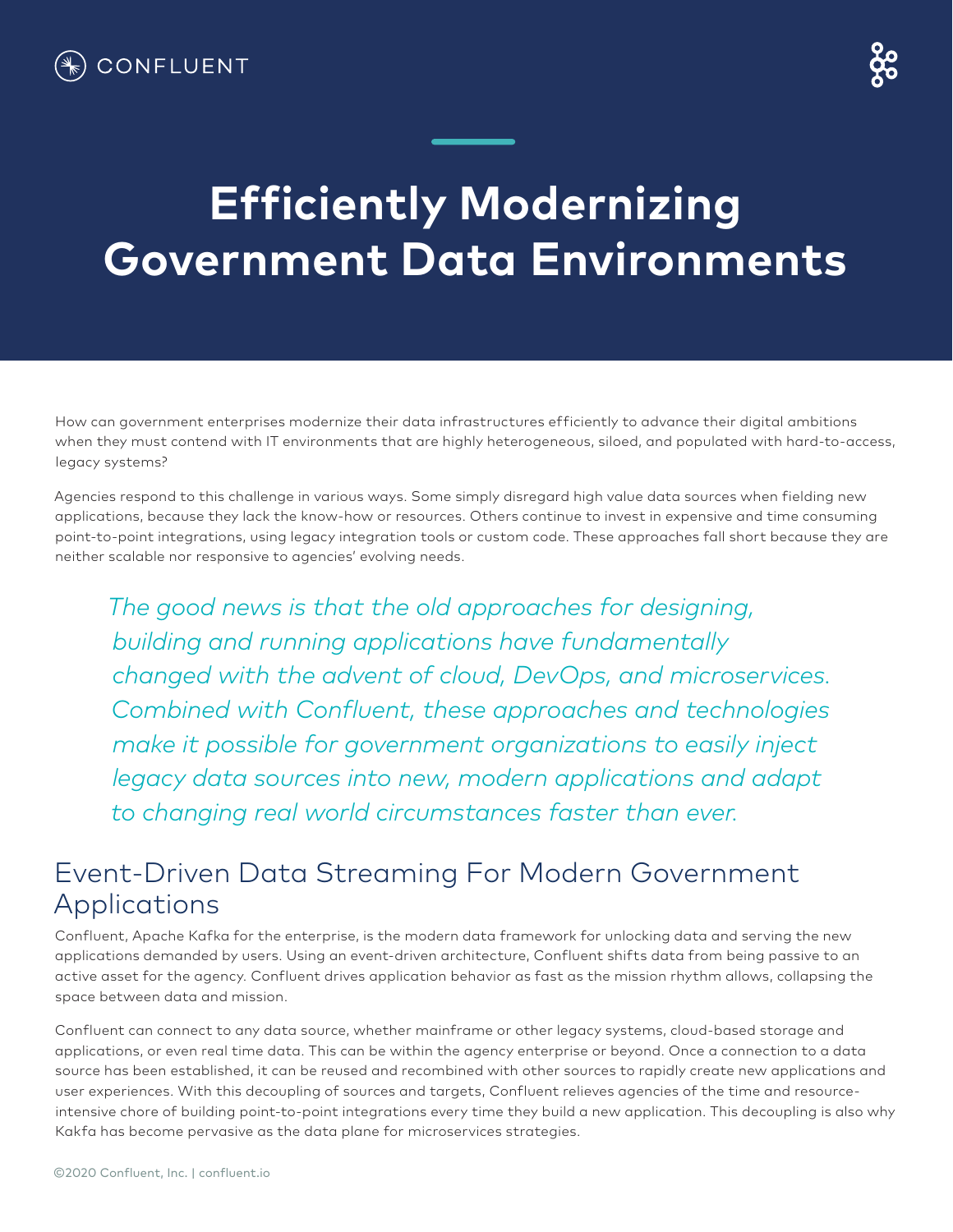## **Efficiently Modernizing Government Data Environments**

How can government enterprises modernize their data infrastructures efficiently to advance their digital ambitions when they must contend with IT environments that are highly heterogeneous, siloed, and populated with hard-to-access, legacy systems?

Agencies respond to this challenge in various ways. Some simply disregard high value data sources when fielding new applications, because they lack the know-how or resources. Others continue to invest in expensive and time consuming point-to-point integrations, using legacy integration tools or custom code. These approaches fall short because they are neither scalable nor responsive to agencies' evolving needs.

*The good news is that the old approaches for designing, building and running applications have fundamentally changed with the advent of cloud, DevOps, and microservices. Combined with Confluent, these approaches and technologies make it possible for government organizations to easily inject legacy data sources into new, modern applications and adapt to changing real world circumstances faster than ever.*

## Event-Driven Data Streaming For Modern Government Applications

Confluent, Apache Kafka for the enterprise, is the modern data framework for unlocking data and serving the new applications demanded by users. Using an event-driven architecture, Confluent shifts data from being passive to an active asset for the agency. Confluent drives application behavior as fast as the mission rhythm allows, collapsing the space between data and mission.

Confluent can connect to any data source, whether mainframe or other legacy systems, cloud-based storage and applications, or even real time data. This can be within the agency enterprise or beyond. Once a connection to a data source has been established, it can be reused and recombined with other sources to rapidly create new applications and user experiences. With this decoupling of sources and targets, Confluent relieves agencies of the time and resourceintensive chore of building point-to-point integrations every time they build a new application. This decoupling is also why Kakfa has become pervasive as the data plane for microservices strategies.